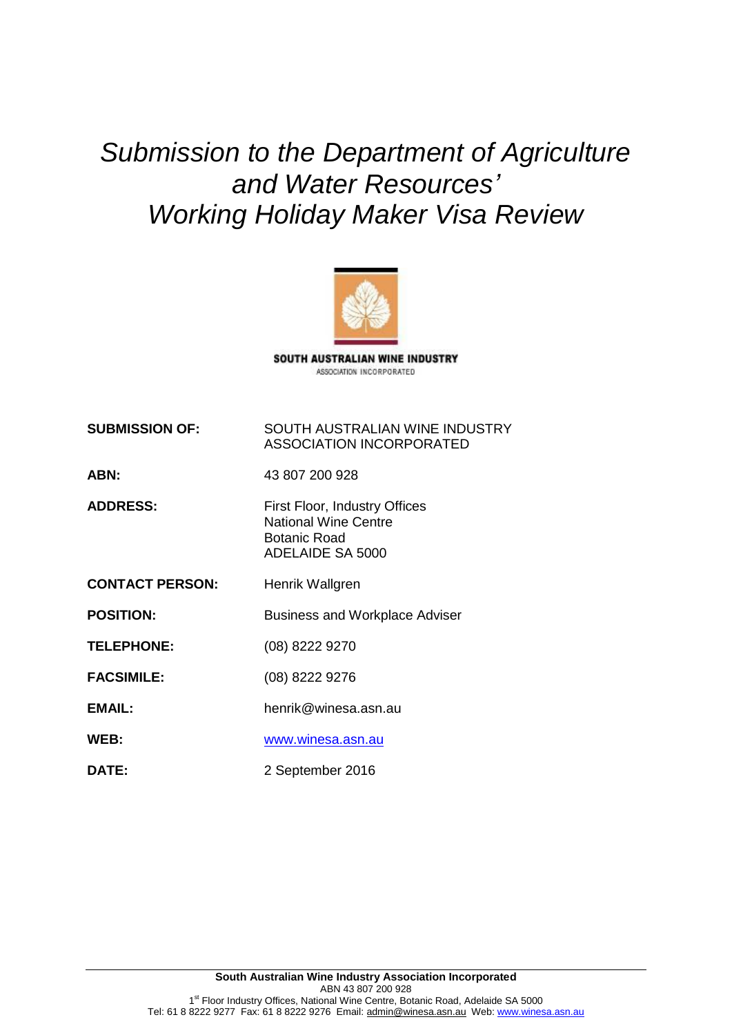*Submission to the Department of Agriculture and Water Resources' Working Holiday Maker Visa Review*



SOUTH AUSTRALIAN WINE INDUSTRY ASSOCIATION INCORPORATED

**SUBMISSION OF:** SOUTH AUSTRALIAN WINE INDUSTRY ASSOCIATION INCORPORATED

**ABN:** 43 807 200 928

ADDRESS: First Floor, Industry Offices National Wine Centre Botanic Road ADELAIDE SA 5000

**CONTACT PERSON:** Henrik Wallgren

**POSITION:** Business and Workplace Adviser

**TELEPHONE:** (08) 8222 9270

**FACSIMILE:** (08) 8222 9276

**EMAIL:** henrik@winesa.asn.au

**WEB:** [www.winesa.asn.au](http://www.winesa.asn.au/)

**DATE:** 2 September 2016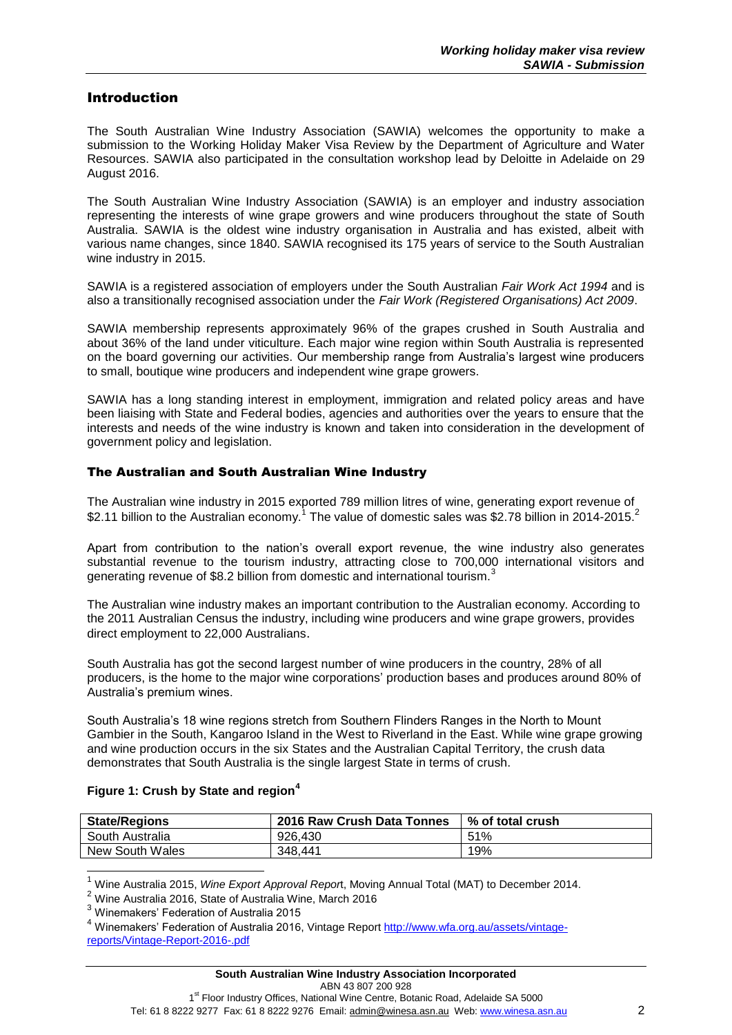### Introduction

The South Australian Wine Industry Association (SAWIA) welcomes the opportunity to make a submission to the Working Holiday Maker Visa Review by the Department of Agriculture and Water Resources. SAWIA also participated in the consultation workshop lead by Deloitte in Adelaide on 29 August 2016.

The South Australian Wine Industry Association (SAWIA) is an employer and industry association representing the interests of wine grape growers and wine producers throughout the state of South Australia. SAWIA is the oldest wine industry organisation in Australia and has existed, albeit with various name changes, since 1840. SAWIA recognised its 175 years of service to the South Australian wine industry in 2015.

SAWIA is a registered association of employers under the South Australian *Fair Work Act 1994* and is also a transitionally recognised association under the *Fair Work (Registered Organisations) Act 2009*.

SAWIA membership represents approximately 96% of the grapes crushed in South Australia and about 36% of the land under viticulture. Each major wine region within South Australia is represented on the board governing our activities. Our membership range from Australia's largest wine producers to small, boutique wine producers and independent wine grape growers.

SAWIA has a long standing interest in employment, immigration and related policy areas and have been liaising with State and Federal bodies, agencies and authorities over the years to ensure that the interests and needs of the wine industry is known and taken into consideration in the development of government policy and legislation.

#### The Australian and South Australian Wine Industry

The Australian wine industry in 2015 exported 789 million litres of wine, generating export revenue of \$2.11 billion to the Australian economy.<sup>1</sup> The value of domestic sales was \$2.78 billion in 2014-2015.<sup>2</sup>

Apart from contribution to the nation's overall export revenue, the wine industry also generates substantial revenue to the tourism industry, attracting close to 700,000 international visitors and generating revenue of \$8.2 billion from domestic and international tourism.<sup>3</sup>

The Australian wine industry makes an important contribution to the Australian economy. According to the 2011 Australian Census the industry, including wine producers and wine grape growers, provides direct employment to 22,000 Australians.

South Australia has got the second largest number of wine producers in the country, 28% of all producers, is the home to the major wine corporations' production bases and produces around 80% of Australia's premium wines.

South Australia's 18 wine regions stretch from Southern Flinders Ranges in the North to Mount Gambier in the South, Kangaroo Island in the West to Riverland in the East. While wine grape growing and wine production occurs in the six States and the Australian Capital Territory, the crush data demonstrates that South Australia is the single largest State in terms of crush.

| <b>State/Regions</b> | 2016 Raw Crush Data Tonnes | % of total crush |
|----------------------|----------------------------|------------------|
| South Australia      | 926,430                    | 51%              |
| New South Wales      | 348.441                    | 19%              |

#### **Figure 1: Crush by State and region<sup>4</sup>**

<sup>1</sup> Wine Australia 2015, *Wine Export Approval Repor*t, Moving Annual Total (MAT) to December 2014.

 $2$  Wine Australia 2016, State of Australia Wine, March 2016

<sup>3</sup> Winemakers' Federation of Australia 2015

 $\overline{a}$ 

<sup>&</sup>lt;sup>4</sup> Winemakers' Federation of Australia 2016, Vintage Report [http://www.wfa.org.au/assets/vintage](http://www.wfa.org.au/assets/vintage-reports/Vintage-Report-2016-.pdf)[reports/Vintage-Report-2016-.pdf](http://www.wfa.org.au/assets/vintage-reports/Vintage-Report-2016-.pdf)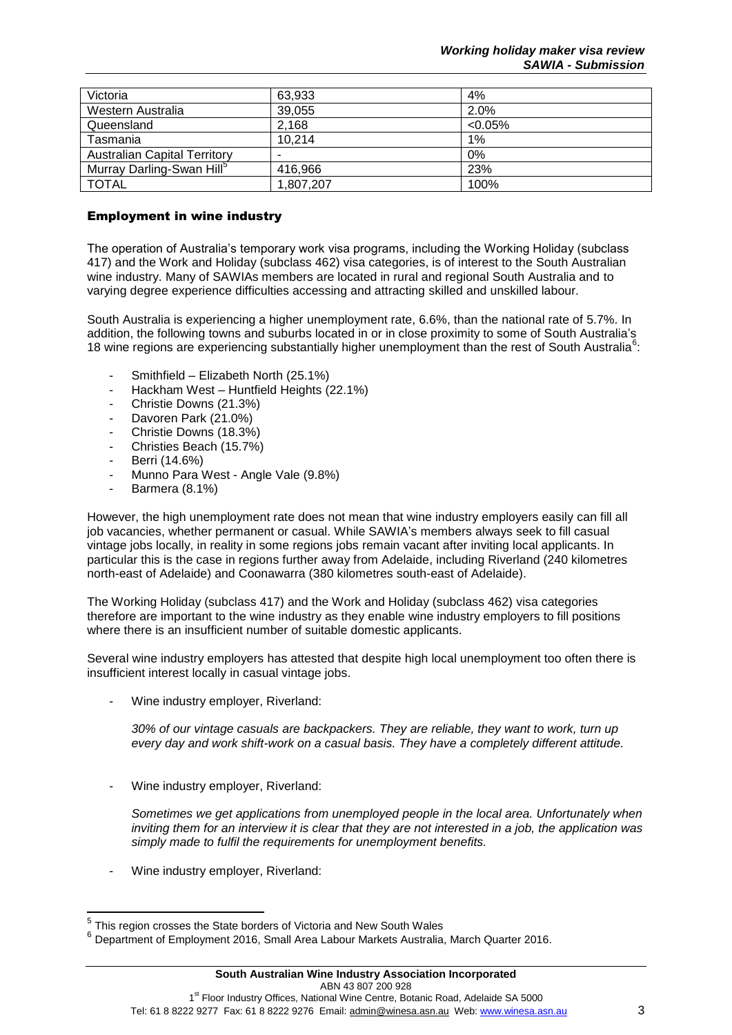| Victoria                              | 63,933    | 4%         |
|---------------------------------------|-----------|------------|
| Western Australia                     | 39,055    | 2.0%       |
| Queensland                            | 2.168     | $< 0.05\%$ |
| Tasmania                              | 10,214    | 1%         |
| <b>Australian Capital Territory</b>   |           | 0%         |
| Murray Darling-Swan Hill <sup>5</sup> | 416.966   | 23%        |
| <b>TOTAL</b>                          | 1,807,207 | 100%       |

## Employment in wine industry

The operation of Australia's temporary work visa programs, including the Working Holiday (subclass 417) and the Work and Holiday (subclass 462) visa categories, is of interest to the South Australian wine industry. Many of SAWIAs members are located in rural and regional South Australia and to varying degree experience difficulties accessing and attracting skilled and unskilled labour.

South Australia is experiencing a higher unemployment rate, 6.6%, than the national rate of 5.7%. In addition, the following towns and suburbs located in or in close proximity to some of South Australia's 18 wine regions are experiencing substantially higher unemployment than the rest of South Australia<sup>6</sup>:

- Smithfield Elizabeth North (25.1%)
- Hackham West Huntfield Heights (22.1%)
- Christie Downs (21.3%)
- Davoren Park (21.0%)
- Christie Downs (18.3%)
- Christies Beach (15.7%)
- Berri (14.6%)
- Munno Para West Angle Vale (9.8%)
- Barmera (8.1%)

However, the high unemployment rate does not mean that wine industry employers easily can fill all job vacancies, whether permanent or casual. While SAWIA's members always seek to fill casual vintage jobs locally, in reality in some regions jobs remain vacant after inviting local applicants. In particular this is the case in regions further away from Adelaide, including Riverland (240 kilometres north-east of Adelaide) and Coonawarra (380 kilometres south-east of Adelaide).

The Working Holiday (subclass 417) and the Work and Holiday (subclass 462) visa categories therefore are important to the wine industry as they enable wine industry employers to fill positions where there is an insufficient number of suitable domestic applicants.

Several wine industry employers has attested that despite high local unemployment too often there is insufficient interest locally in casual vintage jobs.

Wine industry employer, Riverland:

*30% of our vintage casuals are backpackers. They are reliable, they want to work, turn up every day and work shift-work on a casual basis. They have a completely different attitude.* 

Wine industry employer, Riverland:

*Sometimes we get applications from unemployed people in the local area. Unfortunately when inviting them for an interview it is clear that they are not interested in a job, the application was simply made to fulfil the requirements for unemployment benefits.*

Wine industry employer, Riverland:

 5 This region crosses the State borders of Victoria and New South Wales

<sup>6</sup> Department of Employment 2016, Small Area Labour Markets Australia, March Quarter 2016.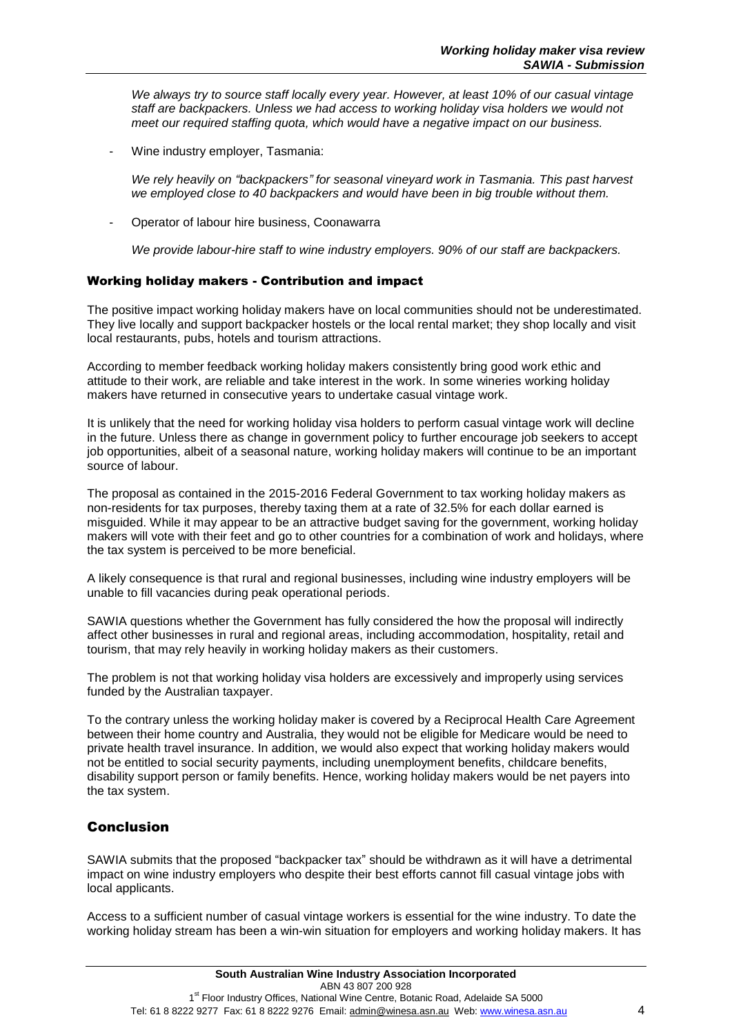*We always try to source staff locally every year. However, at least 10% of our casual vintage staff are backpackers. Unless we had access to working holiday visa holders we would not meet our required staffing quota, which would have a negative impact on our business.* 

Wine industry employer, Tasmania:

*We rely heavily on "backpackers" for seasonal vineyard work in Tasmania. This past harvest we employed close to 40 backpackers and would have been in big trouble without them.* 

- Operator of labour hire business, Coonawarra

*We provide labour-hire staff to wine industry employers. 90% of our staff are backpackers.* 

#### Working holiday makers - Contribution and impact

The positive impact working holiday makers have on local communities should not be underestimated. They live locally and support backpacker hostels or the local rental market; they shop locally and visit local restaurants, pubs, hotels and tourism attractions.

According to member feedback working holiday makers consistently bring good work ethic and attitude to their work, are reliable and take interest in the work. In some wineries working holiday makers have returned in consecutive years to undertake casual vintage work.

It is unlikely that the need for working holiday visa holders to perform casual vintage work will decline in the future. Unless there as change in government policy to further encourage job seekers to accept job opportunities, albeit of a seasonal nature, working holiday makers will continue to be an important source of labour.

The proposal as contained in the 2015-2016 Federal Government to tax working holiday makers as non-residents for tax purposes, thereby taxing them at a rate of 32.5% for each dollar earned is misguided. While it may appear to be an attractive budget saving for the government, working holiday makers will vote with their feet and go to other countries for a combination of work and holidays, where the tax system is perceived to be more beneficial.

A likely consequence is that rural and regional businesses, including wine industry employers will be unable to fill vacancies during peak operational periods.

SAWIA questions whether the Government has fully considered the how the proposal will indirectly affect other businesses in rural and regional areas, including accommodation, hospitality, retail and tourism, that may rely heavily in working holiday makers as their customers.

The problem is not that working holiday visa holders are excessively and improperly using services funded by the Australian taxpayer.

To the contrary unless the working holiday maker is covered by a Reciprocal Health Care Agreement between their home country and Australia, they would not be eligible for Medicare would be need to private health travel insurance. In addition, we would also expect that working holiday makers would not be entitled to social security payments, including unemployment benefits, childcare benefits, disability support person or family benefits. Hence, working holiday makers would be net payers into the tax system.

# Conclusion

SAWIA submits that the proposed "backpacker tax" should be withdrawn as it will have a detrimental impact on wine industry employers who despite their best efforts cannot fill casual vintage jobs with local applicants.

Access to a sufficient number of casual vintage workers is essential for the wine industry. To date the working holiday stream has been a win-win situation for employers and working holiday makers. It has